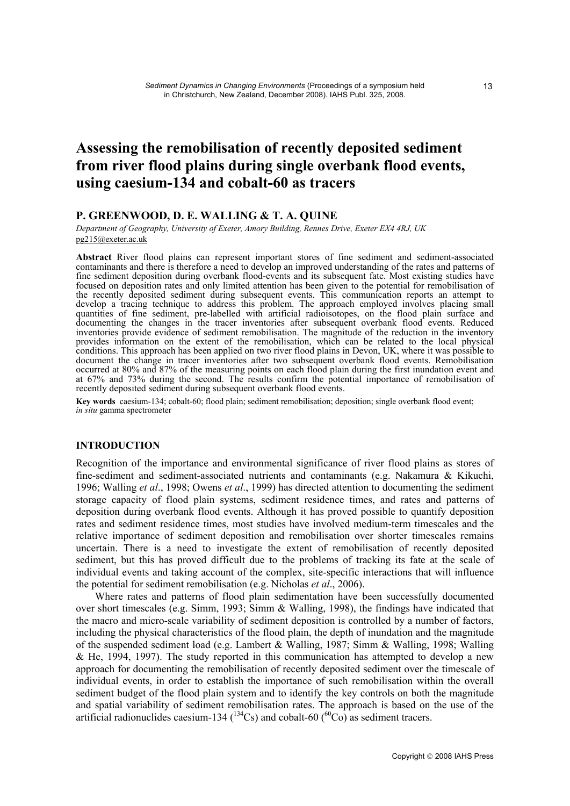# **Assessing the remobilisation of recently deposited sediment from river flood plains during single overbank flood events, using caesium-134 and cobalt-60 as tracers**

## **P. GREENWOOD, D. E. WALLING & T. A. QUINE**

*Department of Geography, University of Exeter, Amory Building, Rennes Drive, Exeter EX4 4RJ, UK*  pg215@exeter.ac.uk

**Abstract** River flood plains can represent important stores of fine sediment and sediment-associated contaminants and there is therefore a need to develop an improved understanding of the rates and patterns of fine sediment deposition during overbank flood-events and its subsequent fate. Most existing studies have focused on deposition rates and only limited attention has been given to the potential for remobilisation of the recently deposited sediment during subsequent events. This communication reports an attempt to develop a tracing technique to address this problem. The approach employed involves placing small quantities of fine sediment, pre-labelled with artificial radioisotopes, on the flood plain surface and documenting the changes in the tracer inventories after subsequent overbank flood events. Reduced inventories provide evidence of sediment remobilisation. The magnitude of the reduction in the inventory provides information on the extent of the remobilisation, which can be related to the local physical conditions. This approach has been applied on two river flood plains in Devon, UK, where it was possible to document the change in tracer inventories after two subsequent overbank flood events. Remobilisation occurred at 80% and 87% of the measuring points on each flood plain during the first inundation event and at 67% and 73% during the second. The results confirm the potential importance of remobilisation of recently deposited sediment during subsequent overbank flood events.

**Key words** caesium-134; cobalt-60; flood plain; sediment remobilisation; deposition; single overbank flood event; *in situ* gamma spectrometer

### **INTRODUCTION**

Recognition of the importance and environmental significance of river flood plains as stores of fine-sediment and sediment-associated nutrients and contaminants (e.g. Nakamura & Kikuchi, 1996; Walling *et al*., 1998; Owens *et al*., 1999) has directed attention to documenting the sediment storage capacity of flood plain systems, sediment residence times, and rates and patterns of deposition during overbank flood events. Although it has proved possible to quantify deposition rates and sediment residence times, most studies have involved medium-term timescales and the relative importance of sediment deposition and remobilisation over shorter timescales remains uncertain. There is a need to investigate the extent of remobilisation of recently deposited sediment, but this has proved difficult due to the problems of tracking its fate at the scale of individual events and taking account of the complex, site-specific interactions that will influence the potential for sediment remobilisation (e.g. Nicholas *et al*., 2006).

 Where rates and patterns of flood plain sedimentation have been successfully documented over short timescales (e.g. Simm, 1993; Simm & Walling, 1998), the findings have indicated that the macro and micro-scale variability of sediment deposition is controlled by a number of factors, including the physical characteristics of the flood plain, the depth of inundation and the magnitude of the suspended sediment load (e.g. Lambert & Walling, 1987; Simm & Walling, 1998; Walling & He, 1994, 1997). The study reported in this communication has attempted to develop a new approach for documenting the remobilisation of recently deposited sediment over the timescale of individual events, in order to establish the importance of such remobilisation within the overall sediment budget of the flood plain system and to identify the key controls on both the magnitude and spatial variability of sediment remobilisation rates. The approach is based on the use of the artificial radionuclides caesium-134 ( $^{134}Cs$ ) and cobalt-60 ( $^{60}Co$ ) as sediment tracers.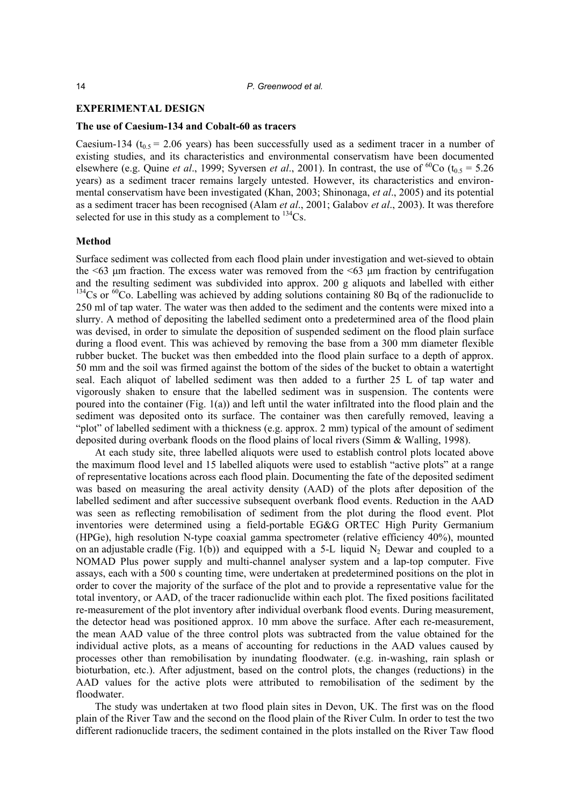### **EXPERIMENTAL DESIGN**

#### **The use of Caesium-134 and Cobalt-60 as tracers**

Caesium-134 ( $t_0$ <sub>5</sub> = 2.06 years) has been successfully used as a sediment tracer in a number of existing studies, and its characteristics and environmental conservatism have been documented elsewhere (e.g. Quine *et al.*, 1999; Syversen *et al.*, 2001). In contrast, the use of <sup>60</sup>Co ( $t_{0.5}$  = 5.26 years) as a sediment tracer remains largely untested. However, its characteristics and environmental conservatism have been investigated (Khan, 2003; Shinonaga, *et al*., 2005) and its potential as a sediment tracer has been recognised (Alam *et al*., 2001; Galabov *et al*., 2003). It was therefore selected for use in this study as a complement to  $^{134}Cs$ .

#### **Method**

Surface sediment was collected from each flood plain under investigation and wet-sieved to obtain the  $\leq 63$  μm fraction. The excess water was removed from the  $\leq 63$  μm fraction by centrifugation and the resulting sediment was subdivided into approx. 200 g aliquots and labelled with either <sup>134</sup>Cs or <sup>60</sup>Co. Labelling was achieved by adding solutions containing 80 Bq of the radionuclide to 250 ml of tap water. The water was then added to the sediment and the contents were mixed into a slurry. A method of depositing the labelled sediment onto a predetermined area of the flood plain was devised, in order to simulate the deposition of suspended sediment on the flood plain surface during a flood event. This was achieved by removing the base from a 300 mm diameter flexible rubber bucket. The bucket was then embedded into the flood plain surface to a depth of approx. 50 mm and the soil was firmed against the bottom of the sides of the bucket to obtain a watertight seal. Each aliquot of labelled sediment was then added to a further 25 L of tap water and vigorously shaken to ensure that the labelled sediment was in suspension. The contents were poured into the container (Fig. 1(a)) and left until the water infiltrated into the flood plain and the sediment was deposited onto its surface. The container was then carefully removed, leaving a "plot" of labelled sediment with a thickness (e.g. approx. 2 mm) typical of the amount of sediment deposited during overbank floods on the flood plains of local rivers (Simm & Walling, 1998).

 At each study site, three labelled aliquots were used to establish control plots located above the maximum flood level and 15 labelled aliquots were used to establish "active plots" at a range of representative locations across each flood plain. Documenting the fate of the deposited sediment was based on measuring the areal activity density (AAD) of the plots after deposition of the labelled sediment and after successive subsequent overbank flood events. Reduction in the AAD was seen as reflecting remobilisation of sediment from the plot during the flood event. Plot inventories were determined using a field-portable EG&G ORTEC High Purity Germanium (HPGe), high resolution N-type coaxial gamma spectrometer (relative efficiency 40%), mounted on an adjustable cradle (Fig. 1(b)) and equipped with a 5-L liquid  $N_2$  Dewar and coupled to a NOMAD Plus power supply and multi-channel analyser system and a lap-top computer. Five assays, each with a 500 s counting time, were undertaken at predetermined positions on the plot in order to cover the majority of the surface of the plot and to provide a representative value for the total inventory, or AAD, of the tracer radionuclide within each plot. The fixed positions facilitated re-measurement of the plot inventory after individual overbank flood events. During measurement, the detector head was positioned approx. 10 mm above the surface. After each re-measurement, the mean AAD value of the three control plots was subtracted from the value obtained for the individual active plots, as a means of accounting for reductions in the AAD values caused by processes other than remobilisation by inundating floodwater. (e.g. in-washing, rain splash or bioturbation, etc.). After adjustment, based on the control plots, the changes (reductions) in the AAD values for the active plots were attributed to remobilisation of the sediment by the floodwater.

 The study was undertaken at two flood plain sites in Devon, UK. The first was on the flood plain of the River Taw and the second on the flood plain of the River Culm. In order to test the two different radionuclide tracers, the sediment contained in the plots installed on the River Taw flood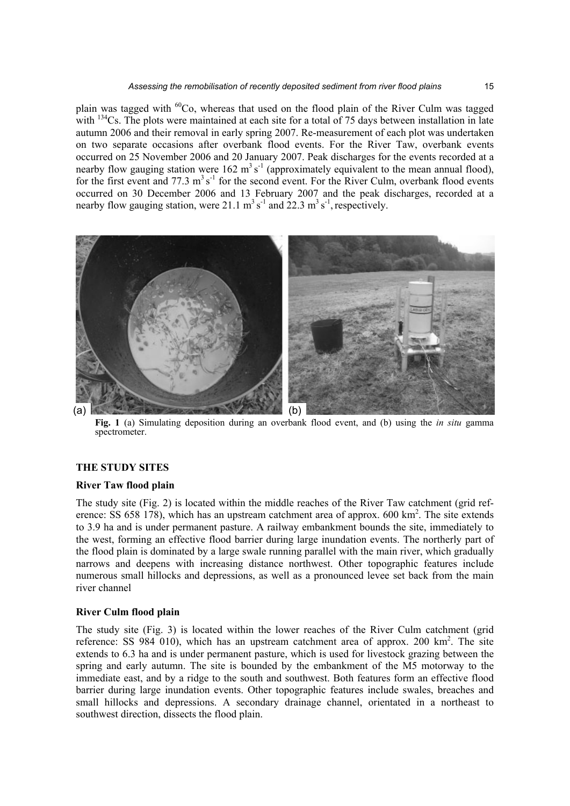plain was tagged with  ${}^{60}Co$ , whereas that used on the flood plain of the River Culm was tagged with  $134$ Cs. The plots were maintained at each site for a total of 75 days between installation in late autumn 2006 and their removal in early spring 2007. Re-measurement of each plot was undertaken on two separate occasions after overbank flood events. For the River Taw, overbank events occurred on 25 November 2006 and 20 January 2007. Peak discharges for the events recorded at a nearby flow gauging station were  $162 \text{ m}^3 \text{ s}^{-1}$  (approximately equivalent to the mean annual flood), for the first event and  $77.3 \text{ m}^3 \text{s}^{-1}$  for the second event. For the River Culm, overbank flood events occurred on 30 December 2006 and 13 February 2007 and the peak discharges, recorded at a nearby flow gauging station, were 21.1  $\text{m}^3 \text{ s}^{-1}$  and 22.3  $\text{m}^3 \text{ s}^{-1}$ , respectively.



**Fig. 1** (a) Simulating deposition during an overbank flood event, and (b) using the *in situ* gamma spectrometer.

### **THE STUDY SITES**

### **River Taw flood plain**

The study site (Fig. 2) is located within the middle reaches of the River Taw catchment (grid reference: SS 658 178), which has an upstream catchment area of approx. 600 km<sup>2</sup>. The site extends to 3.9 ha and is under permanent pasture. A railway embankment bounds the site, immediately to the west, forming an effective flood barrier during large inundation events. The northerly part of the flood plain is dominated by a large swale running parallel with the main river, which gradually narrows and deepens with increasing distance northwest. Other topographic features include numerous small hillocks and depressions, as well as a pronounced levee set back from the main river channel

### **River Culm flood plain**

The study site (Fig. 3) is located within the lower reaches of the River Culm catchment (grid reference: SS 984 010), which has an upstream catchment area of approx. 200 km<sup>2</sup>. The site extends to 6.3 ha and is under permanent pasture, which is used for livestock grazing between the spring and early autumn. The site is bounded by the embankment of the M5 motorway to the immediate east, and by a ridge to the south and southwest. Both features form an effective flood barrier during large inundation events. Other topographic features include swales, breaches and small hillocks and depressions. A secondary drainage channel, orientated in a northeast to southwest direction, dissects the flood plain.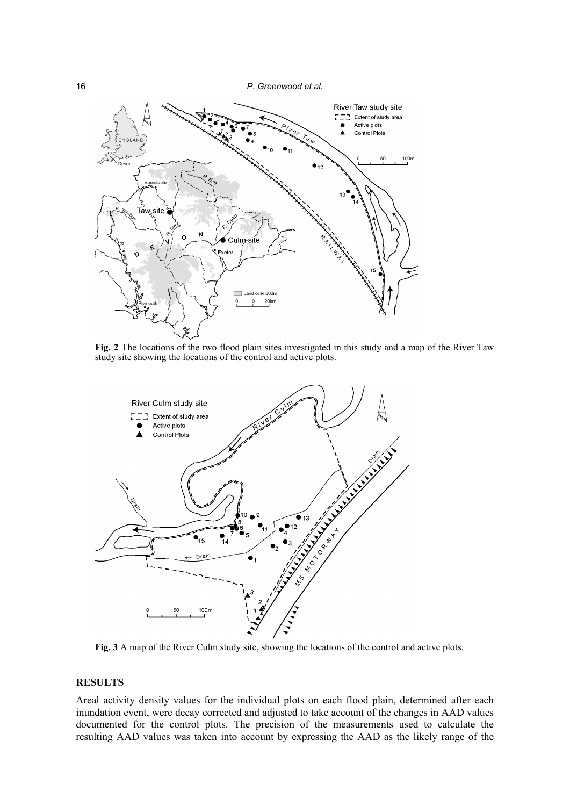16 *P. Greenwood et al.* 



**Fig. 2** The locations of the two flood plain sites investigated in this study and a map of the River Taw study site showing the locations of the control and active plots.



**Fig. 3** A map of the River Culm study site, showing the locations of the control and active plots.

## **RESULTS**

Areal activity density values for the individual plots on each flood plain, determined after each inundation event, were decay corrected and adjusted to take account of the changes in AAD values documented for the control plots. The precision of the measurements used to calculate the resulting AAD values was taken into account by expressing the AAD as the likely range of the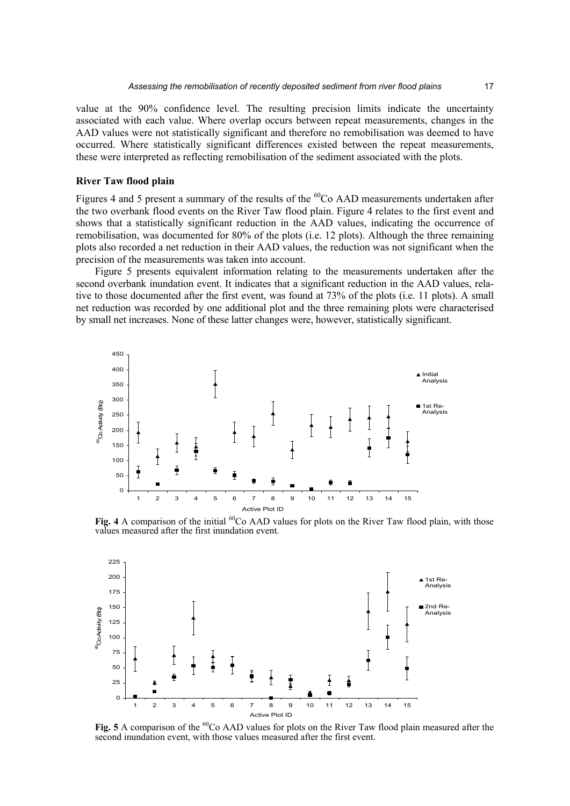value at the 90% confidence level. The resulting precision limits indicate the uncertainty associated with each value. Where overlap occurs between repeat measurements, changes in the AAD values were not statistically significant and therefore no remobilisation was deemed to have occurred. Where statistically significant differences existed between the repeat measurements, these were interpreted as reflecting remobilisation of the sediment associated with the plots.

### **River Taw flood plain**

Figures 4 and 5 present a summary of the results of the  ${}^{60}Co$  AAD measurements undertaken after the two overbank flood events on the River Taw flood plain. Figure 4 relates to the first event and shows that a statistically significant reduction in the AAD values, indicating the occurrence of remobilisation, was documented for 80% of the plots (i.e. 12 plots). Although the three remaining plots also recorded a net reduction in their AAD values, the reduction was not significant when the precision of the measurements was taken into account.

 Figure 5 presents equivalent information relating to the measurements undertaken after the second overbank inundation event. It indicates that a significant reduction in the AAD values, relative to those documented after the first event, was found at 73% of the plots (i.e. 11 plots). A small net reduction was recorded by one additional plot and the three remaining plots were characterised by small net increases. None of these latter changes were, however, statistically significant.



**Fig. 4** A comparison of the initial  ${}^{60}$ Co AAD values for plots on the River Taw flood plain, with those values measured after the first inundation event.



Fig. 5 A comparison of the <sup>60</sup>Co AAD values for plots on the River Taw flood plain measured after the second inundation event, with those values measured after the first event.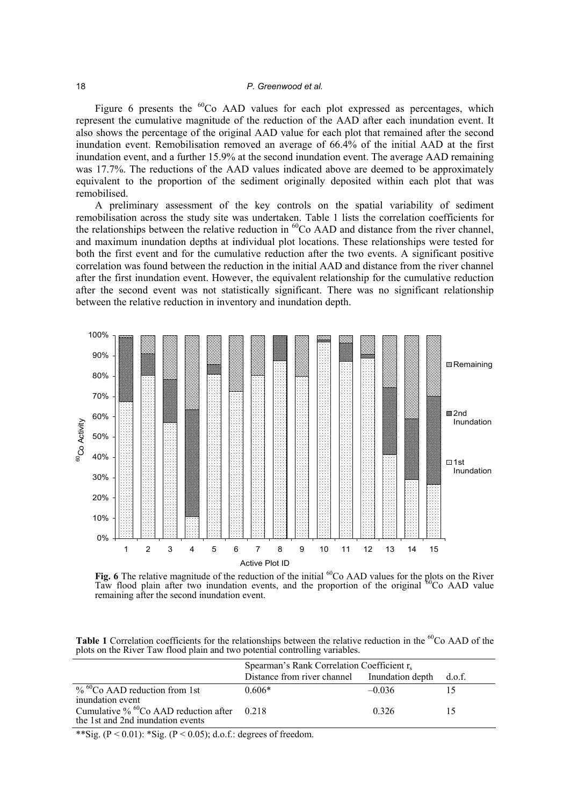Figure 6 presents the  ${}^{60}$ Co AAD values for each plot expressed as percentages, which represent the cumulative magnitude of the reduction of the AAD after each inundation event. It also shows the percentage of the original AAD value for each plot that remained after the second inundation event. Remobilisation removed an average of 66.4% of the initial AAD at the first inundation event, and a further 15.9% at the second inundation event. The average AAD remaining was 17.7%. The reductions of the AAD values indicated above are deemed to be approximately equivalent to the proportion of the sediment originally deposited within each plot that was remobilised.

 A preliminary assessment of the key controls on the spatial variability of sediment remobilisation across the study site was undertaken. Table 1 lists the correlation coefficients for the relationships between the relative reduction in  ${}^{60}Co$  AAD and distance from the river channel, and maximum inundation depths at individual plot locations. These relationships were tested for both the first event and for the cumulative reduction after the two events. A significant positive correlation was found between the reduction in the initial AAD and distance from the river channel after the first inundation event. However, the equivalent relationship for the cumulative reduction after the second event was not statistically significant. There was no significant relationship between the relative reduction in inventory and inundation depth.



Fig. 6 The relative magnitude of the reduction of the initial <sup>60</sup>Co AAD values for the plots on the River Taw flood plain after two inundation events, and the proportion of the original <sup>60</sup>Co AAD value remaining after the second inundation event.

Table 1 Correlation coefficients for the relationships between the relative reduction in the <sup>60</sup>Co AAD of the plots on the River Taw flood plain and two potential controlling variables.

|                                                                                                 | Spearman's Rank Correlation Coefficient $r_s$       |          |  |
|-------------------------------------------------------------------------------------------------|-----------------------------------------------------|----------|--|
|                                                                                                 | Distance from river channel Inundation depth d.o.f. |          |  |
| $\%$ <sup>60</sup> Co AAD reduction from 1st<br>inundation event                                | $0.606*$                                            | $-0.036$ |  |
| Cumulative $\%$ <sup>60</sup> Co AAD reduction after 0.218<br>the 1st and 2nd inundation events |                                                     | 0.326    |  |

\*\*Sig. ( $P < 0.01$ ): \*Sig. ( $P < 0.05$ ); d.o.f.: degrees of freedom.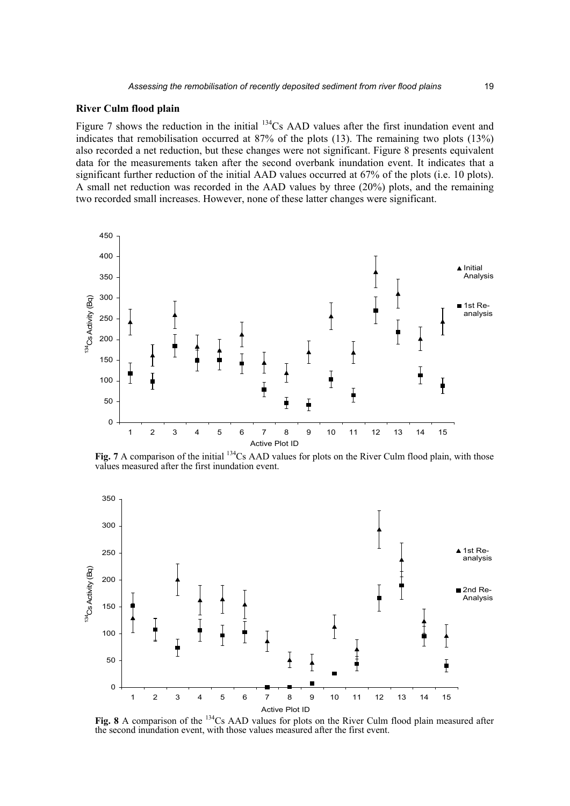### **River Culm flood plain**

Figure 7 shows the reduction in the initial <sup>134</sup>Cs AAD values after the first inundation event and indicates that remobilisation occurred at 87% of the plots (13). The remaining two plots (13%) also recorded a net reduction, but these changes were not significant. Figure 8 presents equivalent data for the measurements taken after the second overbank inundation event. It indicates that a significant further reduction of the initial AAD values occurred at 67% of the plots (i.e. 10 plots). A small net reduction was recorded in the AAD values by three (20%) plots, and the remaining two recorded small increases. However, none of these latter changes were significant.



**Fig. 7** A comparison of the initial <sup>134</sup>Cs AAD values for plots on the River Culm flood plain, with those values measured after the first inundation event.



**Fig. 8** A comparison of the 134Cs AAD values for plots on the River Culm flood plain measured after the second inundation event, with those values measured after the first event.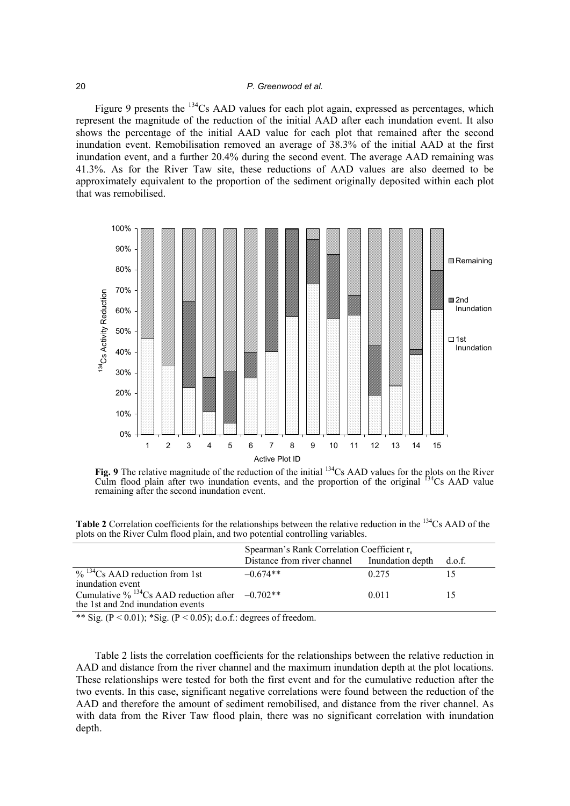### 20 *P. Greenwood et al.*

Figure 9 presents the <sup>134</sup>Cs AAD values for each plot again, expressed as percentages, which represent the magnitude of the reduction of the initial AAD after each inundation event. It also shows the percentage of the initial AAD value for each plot that remained after the second inundation event. Remobilisation removed an average of 38.3% of the initial AAD at the first inundation event, and a further 20.4% during the second event. The average AAD remaining was 41.3%. As for the River Taw site, these reductions of AAD values are also deemed to be approximately equivalent to the proportion of the sediment originally deposited within each plot that was remobilised.



Fig. 9 The relative magnitude of the reduction of the initial <sup>134</sup>Cs AAD values for the plots on the River Culm flood plain after two inundation events, and the proportion of the original <sup>F34</sup>Cs AAD value remaining after the second inundation event.

Table 2 Correlation coefficients for the relationships between the relative reduction in the <sup>134</sup>Cs AAD of the plots on the River Culm flood plain, and two potential controlling variables.

|                                                                                              | Spearman's Rank Correlation Coefficient $r_s$       |       |  |
|----------------------------------------------------------------------------------------------|-----------------------------------------------------|-------|--|
|                                                                                              | Distance from river channel Inundation depth d.o.f. |       |  |
| $\%$ <sup>134</sup> Cs AAD reduction from 1st<br>inundation event                            | $-0.674**$                                          | 0.275 |  |
| Cumulative % $^{134}$ Cs AAD reduction after $-0.702**$<br>the 1st and 2nd inundation events |                                                     | 0.011 |  |

\*\* Sig. ( $P \le 0.01$ ); \*Sig. ( $P \le 0.05$ ); d.o.f.; degrees of freedom.

 Table 2 lists the correlation coefficients for the relationships between the relative reduction in AAD and distance from the river channel and the maximum inundation depth at the plot locations. These relationships were tested for both the first event and for the cumulative reduction after the two events. In this case, significant negative correlations were found between the reduction of the AAD and therefore the amount of sediment remobilised, and distance from the river channel. As with data from the River Taw flood plain, there was no significant correlation with inundation depth.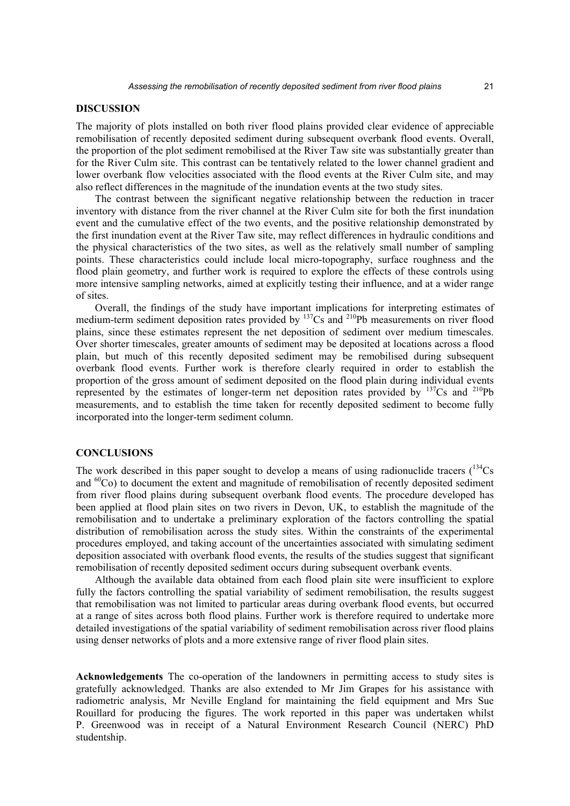### **DISCUSSION**

The majority of plots installed on both river flood plains provided clear evidence of appreciable remobilisation of recently deposited sediment during subsequent overbank flood events. Overall, the proportion of the plot sediment remobilised at the River Taw site was substantially greater than for the River Culm site. This contrast can be tentatively related to the lower channel gradient and lower overbank flow velocities associated with the flood events at the River Culm site, and may also reflect differences in the magnitude of the inundation events at the two study sites.

 The contrast between the significant negative relationship between the reduction in tracer inventory with distance from the river channel at the River Culm site for both the first inundation event and the cumulative effect of the two events, and the positive relationship demonstrated by the first inundation event at the River Taw site, may reflect differences in hydraulic conditions and the physical characteristics of the two sites, as well as the relatively small number of sampling points. These characteristics could include local micro-topography, surface roughness and the flood plain geometry, and further work is required to explore the effects of these controls using more intensive sampling networks, aimed at explicitly testing their influence, and at a wider range of sites.

 Overall, the findings of the study have important implications for interpreting estimates of medium-term sediment deposition rates provided by <sup>137</sup>Cs and <sup>210</sup>Pb measurements on river flood plains, since these estimates represent the net deposition of sediment over medium timescales. Over shorter timescales, greater amounts of sediment may be deposited at locations across a flood plain, but much of this recently deposited sediment may be remobilised during subsequent overbank flood events. Further work is therefore clearly required in order to establish the proportion of the gross amount of sediment deposited on the flood plain during individual events represented by the estimates of longer-term net deposition rates provided by  $^{137}Cs$  and  $^{210}Pb$ measurements, and to establish the time taken for recently deposited sediment to become fully incorporated into the longer-term sediment column.

### **CONCLUSIONS**

The work described in this paper sought to develop a means of using radionuclide tracers  $(^{134}Cs$ and  ${}^{60}Co$ ) to document the extent and magnitude of remobilisation of recently deposited sediment from river flood plains during subsequent overbank flood events. The procedure developed has been applied at flood plain sites on two rivers in Devon, UK, to establish the magnitude of the remobilisation and to undertake a preliminary exploration of the factors controlling the spatial distribution of remobilisation across the study sites. Within the constraints of the experimental procedures employed, and taking account of the uncertainties associated with simulating sediment deposition associated with overbank flood events, the results of the studies suggest that significant remobilisation of recently deposited sediment occurs during subsequent overbank events.

 Although the available data obtained from each flood plain site were insufficient to explore fully the factors controlling the spatial variability of sediment remobilisation, the results suggest that remobilisation was not limited to particular areas during overbank flood events, but occurred at a range of sites across both flood plains. Further work is therefore required to undertake more detailed investigations of the spatial variability of sediment remobilisation across river flood plains using denser networks of plots and a more extensive range of river flood plain sites.

**Acknowledgements** The co-operation of the landowners in permitting access to study sites is gratefully acknowledged. Thanks are also extended to Mr Jim Grapes for his assistance with radiometric analysis, Mr Neville England for maintaining the field equipment and Mrs Sue Rouillard for producing the figures. The work reported in this paper was undertaken whilst P. Greenwood was in receipt of a Natural Environment Research Council (NERC) PhD studentship.